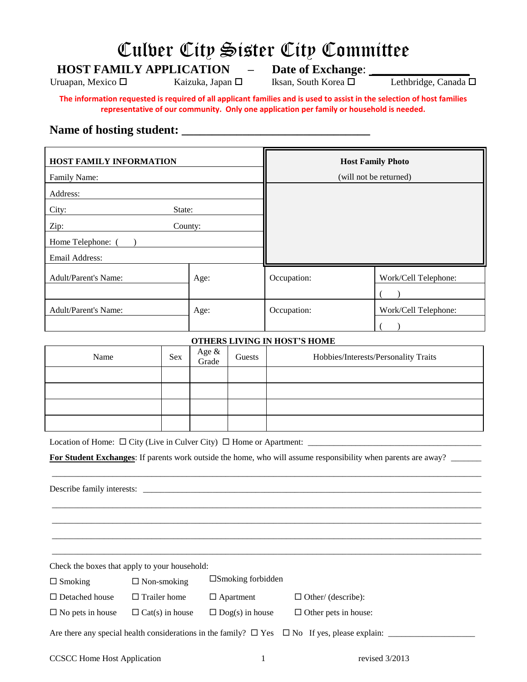# Culver City Sister City Committee

**HOST FAMILY APPLICATION – Date of Exchange:** 

Uruapan, Mexico  $\Box$  Kaizuka, Japan  $\Box$  Iksan, South Korea  $\Box$  Lethbridge, Canada  $\Box$ 

**The information requested is required of all applicant families and is used to assist in the selection of host families representative of our community. Only one application per family or household is needed.**

## **Name of hosting student: \_\_\_\_\_\_\_\_\_\_\_\_\_\_\_\_\_\_\_\_\_\_\_\_\_\_\_\_\_\_\_**

| <b>HOST FAMILY INFORMATION</b> |      | <b>Host Family Photo</b> |                        |  |
|--------------------------------|------|--------------------------|------------------------|--|
| Family Name:                   |      |                          | (will not be returned) |  |
| Address:                       |      |                          |                        |  |
| City:<br>State:                |      |                          |                        |  |
| Zip:<br>County:                |      |                          |                        |  |
| Home Telephone: (              |      |                          |                        |  |
| Email Address:                 |      |                          |                        |  |
| <b>Adult/Parent's Name:</b>    | Age: | Occupation:              | Work/Cell Telephone:   |  |
|                                |      |                          |                        |  |
| <b>Adult/Parent's Name:</b>    | Age: | Occupation:              | Work/Cell Telephone:   |  |
|                                |      |                          |                        |  |

#### **OTHERS LIVING IN HOST'S HOME**

| Name | Sex | Age &<br>Grade | Guests | Hobbies/Interests/Personality Traits |
|------|-----|----------------|--------|--------------------------------------|
|      |     |                |        |                                      |
|      |     |                |        |                                      |
|      |     |                |        |                                      |
|      |     |                |        |                                      |

Location of Home: City (Live in Culver City) Home or Apartment: \_\_\_\_\_\_\_\_\_\_\_\_\_\_\_\_\_\_\_\_\_\_\_\_\_\_\_\_\_\_\_\_\_\_\_\_\_\_\_\_

**For Student Exchanges**: If parents work outside the home, who will assume responsibility when parents are away? \_\_\_\_\_\_\_

\_\_\_\_\_\_\_\_\_\_\_\_\_\_\_\_\_\_\_\_\_\_\_\_\_\_\_\_\_\_\_\_\_\_\_\_\_\_\_\_\_\_\_\_\_\_\_\_\_\_\_\_\_\_\_\_\_\_\_\_\_\_\_\_\_\_\_\_\_\_\_\_\_\_\_\_\_\_\_\_\_\_\_\_\_\_\_\_\_\_\_\_\_\_\_\_\_\_\_

\_\_\_\_\_\_\_\_\_\_\_\_\_\_\_\_\_\_\_\_\_\_\_\_\_\_\_\_\_\_\_\_\_\_\_\_\_\_\_\_\_\_\_\_\_\_\_\_\_\_\_\_\_\_\_\_\_\_\_\_\_\_\_\_\_\_\_\_\_\_\_\_\_\_\_\_\_\_\_\_\_\_\_\_\_\_\_\_\_\_\_\_\_\_\_\_\_\_\_ \_\_\_\_\_\_\_\_\_\_\_\_\_\_\_\_\_\_\_\_\_\_\_\_\_\_\_\_\_\_\_\_\_\_\_\_\_\_\_\_\_\_\_\_\_\_\_\_\_\_\_\_\_\_\_\_\_\_\_\_\_\_\_\_\_\_\_\_\_\_\_\_\_\_\_\_\_\_\_\_\_\_\_\_\_\_\_\_\_\_\_\_\_\_\_\_\_\_\_ \_\_\_\_\_\_\_\_\_\_\_\_\_\_\_\_\_\_\_\_\_\_\_\_\_\_\_\_\_\_\_\_\_\_\_\_\_\_\_\_\_\_\_\_\_\_\_\_\_\_\_\_\_\_\_\_\_\_\_\_\_\_\_\_\_\_\_\_\_\_\_\_\_\_\_\_\_\_\_\_\_\_\_\_\_\_\_\_\_\_\_\_\_\_\_\_\_\_\_ \_\_\_\_\_\_\_\_\_\_\_\_\_\_\_\_\_\_\_\_\_\_\_\_\_\_\_\_\_\_\_\_\_\_\_\_\_\_\_\_\_\_\_\_\_\_\_\_\_\_\_\_\_\_\_\_\_\_\_\_\_\_\_\_\_\_\_\_\_\_\_\_\_\_\_\_\_\_\_\_\_\_\_\_\_\_\_\_\_\_\_\_\_\_\_\_\_\_\_

Describe family interests:

Check the boxes that apply to your household:

| $\Box$ Smoking          | $\Box$ Non-smoking     | $\square$ Smoking forbidden |                                                                                                               |
|-------------------------|------------------------|-----------------------------|---------------------------------------------------------------------------------------------------------------|
| $\Box$ Detached house   | $\Box$ Trailer home    | $\Box$ Apartment            | $\Box$ Other/ (describe):                                                                                     |
| $\Box$ No pets in house | $\Box$ Cat(s) in house | $\Box$ Dog(s) in house      | $\Box$ Other pets in house:                                                                                   |
|                         |                        |                             | Are there any special health considerations in the family? $\square$ Yes $\square$ No If yes, please explain: |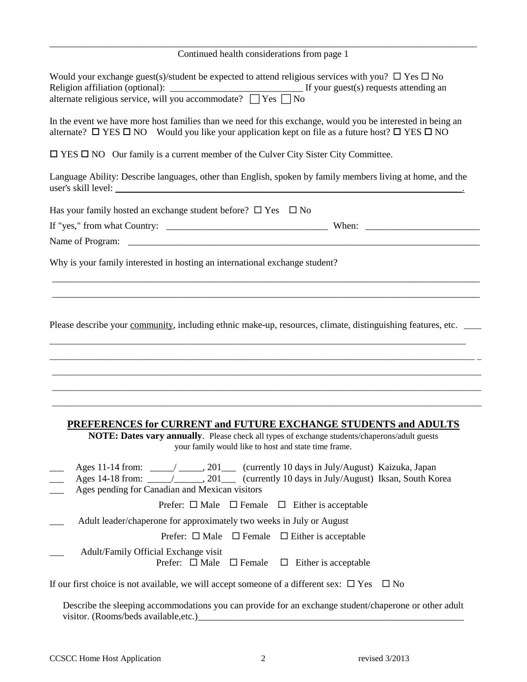| Continued health considerations from page 1                                                                                                                                                                                                                                              |  |  |  |
|------------------------------------------------------------------------------------------------------------------------------------------------------------------------------------------------------------------------------------------------------------------------------------------|--|--|--|
| Would your exchange guest(s)/student be expected to attend religious services with you? $\Box$ Yes $\Box$ No<br>Religion affiliation (optional): $\overline{\phantom{a}}$ If your guest(s) requests attending an alternate religious service, will you accommodate? $\Box$ Yes $\Box$ No |  |  |  |
| In the event we have more host families than we need for this exchange, would you be interested in being an<br>alternate? $\Box$ YES $\Box$ NO Would you like your application kept on file as a future host? $\Box$ YES $\Box$ NO                                                       |  |  |  |
| $\Box$ YES $\Box$ NO Our family is a current member of the Culver City Sister City Committee.                                                                                                                                                                                            |  |  |  |
| Language Ability: Describe languages, other than English, spoken by family members living at home, and the                                                                                                                                                                               |  |  |  |
| Has your family hosted an exchange student before? $\Box$ Yes $\Box$ No                                                                                                                                                                                                                  |  |  |  |
|                                                                                                                                                                                                                                                                                          |  |  |  |
|                                                                                                                                                                                                                                                                                          |  |  |  |
| Why is your family interested in hosting an international exchange student?                                                                                                                                                                                                              |  |  |  |
|                                                                                                                                                                                                                                                                                          |  |  |  |
| PREFERENCES for CURRENT and FUTURE EXCHANGE STUDENTS and ADULTS                                                                                                                                                                                                                          |  |  |  |
| <b>NOTE: Dates vary annually</b> . Please check all types of exchange students/chaperons/adult guests<br>your family would like to host and state time frame.                                                                                                                            |  |  |  |
| Ages 11-14 from: ____/ _____, 201___ (currently 10 days in July/August) Kaizuka, Japan<br>Ages pending for Canadian and Mexican visitors                                                                                                                                                 |  |  |  |
| Prefer: $\Box$ Male $\Box$ Female $\Box$ Either is acceptable                                                                                                                                                                                                                            |  |  |  |
| Adult leader/chaperone for approximately two weeks in July or August                                                                                                                                                                                                                     |  |  |  |
| Prefer: $\Box$ Male $\Box$ Female $\Box$ Either is acceptable                                                                                                                                                                                                                            |  |  |  |
| Adult/Family Official Exchange visit<br>Prefer: $\Box$ Male $\Box$ Female<br>$\Box$ Either is acceptable                                                                                                                                                                                 |  |  |  |
| If our first choice is not available, we will accept someone of a different sex: $\Box$ Yes $\Box$ No                                                                                                                                                                                    |  |  |  |
| Describe the sleeping accommodations you can provide for an exchange student/chaperone or other adult                                                                                                                                                                                    |  |  |  |